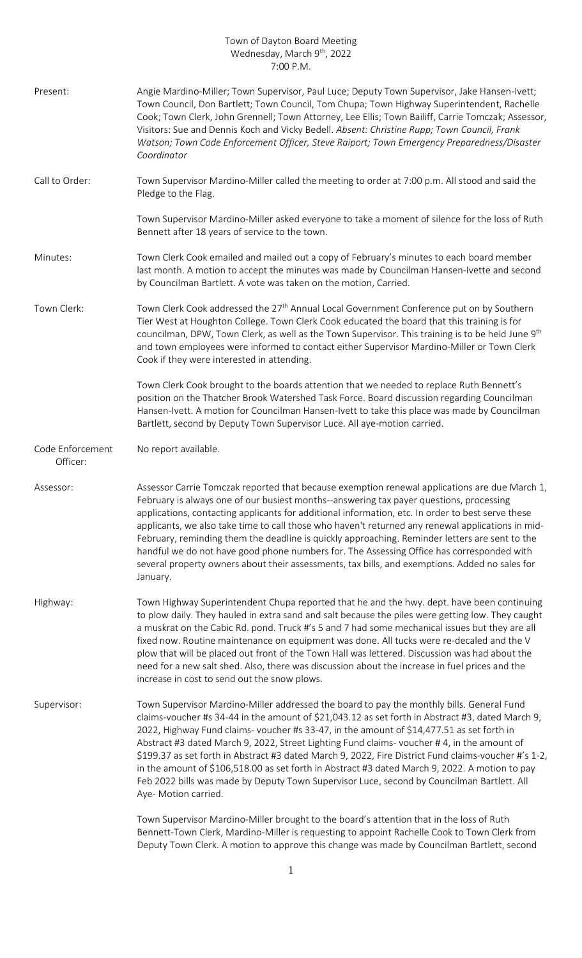## Town of Dayton Board Meeting Wednesday, March 9<sup>th</sup>, 2022 7:00 P.M.

| Present:                     | Angie Mardino-Miller; Town Supervisor, Paul Luce; Deputy Town Supervisor, Jake Hansen-Ivett;<br>Town Council, Don Bartlett; Town Council, Tom Chupa; Town Highway Superintendent, Rachelle<br>Cook; Town Clerk, John Grennell; Town Attorney, Lee Ellis; Town Bailiff, Carrie Tomczak; Assessor,<br>Visitors: Sue and Dennis Koch and Vicky Bedell. Absent: Christine Rupp; Town Council, Frank<br>Watson; Town Code Enforcement Officer, Steve Raiport; Town Emergency Preparedness/Disaster<br>Coordinator                                                                                                                                                                                                            |
|------------------------------|-------------------------------------------------------------------------------------------------------------------------------------------------------------------------------------------------------------------------------------------------------------------------------------------------------------------------------------------------------------------------------------------------------------------------------------------------------------------------------------------------------------------------------------------------------------------------------------------------------------------------------------------------------------------------------------------------------------------------|
| Call to Order:               | Town Supervisor Mardino-Miller called the meeting to order at 7:00 p.m. All stood and said the<br>Pledge to the Flag.                                                                                                                                                                                                                                                                                                                                                                                                                                                                                                                                                                                                   |
|                              | Town Supervisor Mardino-Miller asked everyone to take a moment of silence for the loss of Ruth<br>Bennett after 18 years of service to the town.                                                                                                                                                                                                                                                                                                                                                                                                                                                                                                                                                                        |
| Minutes:                     | Town Clerk Cook emailed and mailed out a copy of February's minutes to each board member<br>last month. A motion to accept the minutes was made by Councilman Hansen-Ivette and second<br>by Councilman Bartlett. A vote was taken on the motion, Carried.                                                                                                                                                                                                                                                                                                                                                                                                                                                              |
| Town Clerk:                  | Town Clerk Cook addressed the 27 <sup>th</sup> Annual Local Government Conference put on by Southern<br>Tier West at Houghton College. Town Clerk Cook educated the board that this training is for<br>councilman, DPW, Town Clerk, as well as the Town Supervisor. This training is to be held June 9 <sup>th</sup><br>and town employees were informed to contact either Supervisor Mardino-Miller or Town Clerk<br>Cook if they were interested in attending.                                                                                                                                                                                                                                                        |
|                              | Town Clerk Cook brought to the boards attention that we needed to replace Ruth Bennett's<br>position on the Thatcher Brook Watershed Task Force. Board discussion regarding Councilman<br>Hansen-Ivett. A motion for Councilman Hansen-Ivett to take this place was made by Councilman<br>Bartlett, second by Deputy Town Supervisor Luce. All aye-motion carried.                                                                                                                                                                                                                                                                                                                                                      |
| Code Enforcement<br>Officer: | No report available.                                                                                                                                                                                                                                                                                                                                                                                                                                                                                                                                                                                                                                                                                                    |
| Assessor:                    | Assessor Carrie Tomczak reported that because exemption renewal applications are due March 1,<br>February is always one of our busiest months--answering tax payer questions, processing<br>applications, contacting applicants for additional information, etc. In order to best serve these<br>applicants, we also take time to call those who haven't returned any renewal applications in mid-<br>February, reminding them the deadline is quickly approaching. Reminder letters are sent to the<br>handful we do not have good phone numbers for. The Assessing Office has corresponded with<br>several property owners about their assessments, tax bills, and exemptions. Added no sales for<br>January.         |
| Highway:                     | Town Highway Superintendent Chupa reported that he and the hwy. dept. have been continuing<br>to plow daily. They hauled in extra sand and salt because the piles were getting low. They caught<br>a muskrat on the Cabic Rd. pond. Truck #'s 5 and 7 had some mechanical issues but they are all<br>fixed now. Routine maintenance on equipment was done. All tucks were re-decaled and the V<br>plow that will be placed out front of the Town Hall was lettered. Discussion was had about the<br>need for a new salt shed. Also, there was discussion about the increase in fuel prices and the<br>increase in cost to send out the snow plows.                                                                      |
| Supervisor:                  | Town Supervisor Mardino-Miller addressed the board to pay the monthly bills. General Fund<br>claims-voucher #s 34-44 in the amount of \$21,043.12 as set forth in Abstract #3, dated March 9,<br>2022, Highway Fund claims- voucher #s 33-47, in the amount of \$14,477.51 as set forth in<br>Abstract #3 dated March 9, 2022, Street Lighting Fund claims-voucher #4, in the amount of<br>\$199.37 as set forth in Abstract #3 dated March 9, 2022, Fire District Fund claims-voucher #'s 1-2,<br>in the amount of \$106,518.00 as set forth in Abstract #3 dated March 9, 2022. A motion to pay<br>Feb 2022 bills was made by Deputy Town Supervisor Luce, second by Councilman Bartlett. All<br>Aye- Motion carried. |
|                              | Town Supervisor Mardino-Miller brought to the board's attention that in the loss of Ruth<br>Bennett-Town Clerk, Mardino-Miller is requesting to appoint Rachelle Cook to Town Clerk from<br>Deputy Town Clerk. A motion to approve this change was made by Councilman Bartlett, second                                                                                                                                                                                                                                                                                                                                                                                                                                  |